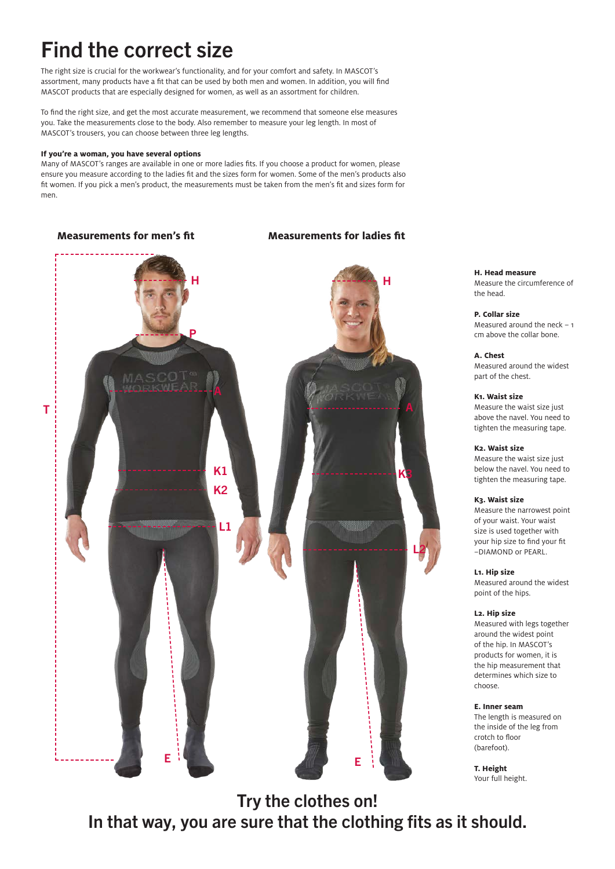# Find the correct size

The right size is crucial for the workwear's functionality, and for your comfort and safety. In MASCOT's assortment, many products have a fit that can be used by both men and women. In addition, you will find MASCOT products that are especially designed for women, as well as an assortment for children.

To find the right size, and get the most accurate measurement, we recommend that someone else measures you. Take the measurements close to the body. Also remember to measure your leg length. In most of MASCOT's trousers, you can choose between three leg lengths.

### **If you're a woman, you have several options**

Many of MASCOT's ranges are available in one or more ladies fits. If you choose a product for women, please ensure you measure according to the ladies fit and the sizes form for women. Some of the men's products also fit women. If you pick a men's product, the measurements must be taken from the men's fit and sizes form for men.

K1 K2 K3 L1 E T H P L2 E H

**H. Head measure** Measure the circumference of the head.

**P. Collar size** Measured around the neck – 1 cm above the collar bone.

**A. Chest** Measured around the widest part of the chest.

### **K1. Waist size**

Measure the waist size just above the navel. You need to tighten the measuring tape.

### **K2. Waist size**

Measure the waist size just below the navel. You need to tighten the measuring tape.

### **K3. Waist size**

Measure the narrowest point of your waist. Your waist size is used together with your hip size to find your fit –DIAMOND or PEARL.

### **L1. Hip size**

Measured around the widest point of the hips.

### **L2. Hip size**

Measured with legs together around the widest point of the hip. In MASCOT's products for women, it is the hip measurement that determines which size to choose.

### **E. Inner seam**

The length is measured on the inside of the leg from crotch to floor (barefoot).

**T. Height** Your full height.

Try the clothes on! In that way, you are sure that the clothing fits as it should.

### **Measurements for men's fit Measurements for ladies fit**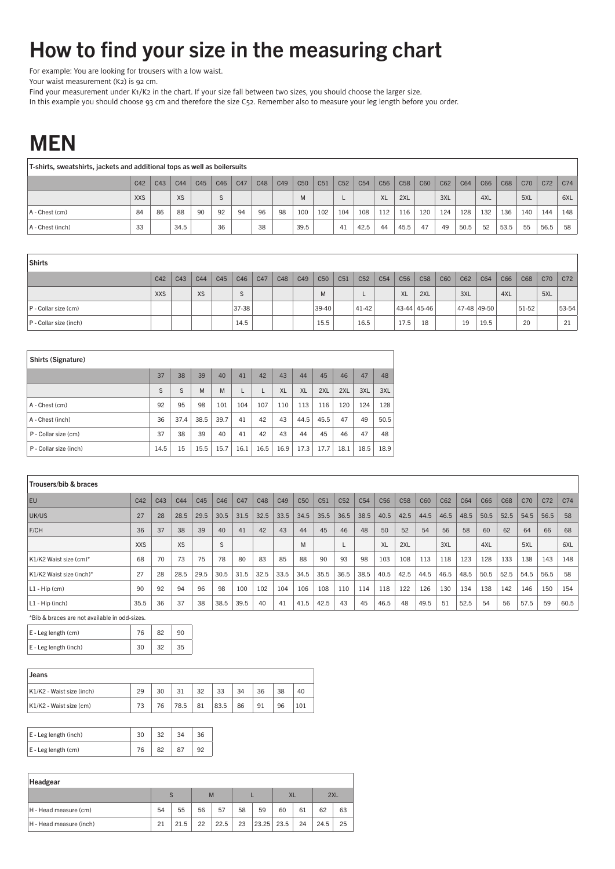# How to find your size in the measuring chart

For example: You are looking for trousers with a low waist.

Your waist measurement (K2) is 92 cm.

Find your measurement under K1/K2 in the chart. If your size fall between two sizes, you should choose the larger size.

In this example you should choose 93 cm and therefore the size C52. Remember also to measure your leg length before you order.

### MEN

| T-shirts, sweatshirts, jackets and additional tops as well as boilersuits |            |     |           |     |     |     |     |     |                 |                 |                 |                 |                 |                 |     |     |      |     |      |     |      |                 |
|---------------------------------------------------------------------------|------------|-----|-----------|-----|-----|-----|-----|-----|-----------------|-----------------|-----------------|-----------------|-----------------|-----------------|-----|-----|------|-----|------|-----|------|-----------------|
|                                                                           | C42        | C43 | C44       | C45 | C46 | C47 | C48 | C49 | C <sub>50</sub> | C <sub>51</sub> | C <sub>52</sub> | C <sub>54</sub> | C <sub>56</sub> | C <sub>58</sub> | C60 | C62 | C64  | C66 | C68  | C70 | C72  | C <sub>74</sub> |
|                                                                           | <b>XXS</b> |     | <b>XS</b> |     |     |     |     |     | M               |                 |                 |                 | <b>XL</b>       | 2XL             |     | 3XL |      | 4XL |      | 5XL |      | 6XL             |
| $A -$ Chest $(cm)$                                                        | 84         | 86  | 88        | 90  | 92  | 94  | 96  | 98  | 100             | 102             | 104             | 108             | 112             | 116             | 120 | 124 | 128  | 132 | 136  | 140 | 144  | 148             |
| A - Chest (inch)                                                          | 33         |     | 34.5      |     | 36  |     | 38  |     | 39.5            |                 | 41              | 42.5            | 44              | 45.5            | 47  | 49  | 50.5 | 52  | 53.5 | 55  | 56.5 | 58              |

| Shirts                    |            |     |     |     |              |     |     |     |                 |     |       |                 |                 |                 |     |     |                 |     |       |     |       |
|---------------------------|------------|-----|-----|-----|--------------|-----|-----|-----|-----------------|-----|-------|-----------------|-----------------|-----------------|-----|-----|-----------------|-----|-------|-----|-------|
|                           | C42        | C43 | C44 | C45 | C46          | C47 | C48 | C49 | C <sub>50</sub> | C51 | C52   | C <sub>54</sub> | C <sub>56</sub> | C <sub>58</sub> | C60 | C62 | C64             | C66 | C68   | C70 | C72   |
|                           | <b>XXS</b> |     | XS  |     | $\sim$<br>÷. |     |     |     | M               |     |       |                 | <b>XL</b>       | 2XL             |     | 3XL |                 | 4XL |       | 5XL |       |
| $P$ - Collar size (cm)    |            |     |     |     | 37-38        |     |     |     | 39-40           |     | 41-42 |                 | 43-44 45-46     |                 |     |     | $ 47-48 49-50 $ |     | 51-52 |     | 53-54 |
| $ P - Collar size (inch)$ |            |     |     |     | 14.5         |     |     |     | 15.5            |     | 16.5  |                 | 17.5            | 18              |     | 19  | 19.5            |     | 20    |     | 21    |

| Shirts (Signature)     |      |      |      |      |      |      |           |           |      |      |      |      |
|------------------------|------|------|------|------|------|------|-----------|-----------|------|------|------|------|
|                        | 37   | 38   | 39   | 40   | 41   | 42   | 43        | 44        | 45   | 46   | 47   | 48   |
|                        | S    | S    | M    | M    | L    | L    | <b>XL</b> | <b>XL</b> | 2XL  | 2XL  | 3XL  | 3XL  |
| A - Chest (cm)         | 92   | 95   | 98   | 101  | 104  | 107  | 110       | 113       | 116  | 120  | 124  | 128  |
| A - Chest (inch)       | 36   | 37.4 | 38.5 | 39.7 | 41   | 42   | 43        | 44.5      | 45.5 | 47   | 49   | 50.5 |
| P - Collar size (cm)   | 37   | 38   | 39   | 40   | 41   | 42   | 43        | 44        | 45   | 46   | 47   | 48   |
| P - Collar size (inch) | 14.5 | 15   | 15.5 | 15.7 | 16.1 | 16.5 | 16.9      | 17.3      | 17.7 | 18.1 | 18.5 | 18.9 |

| Trousers/bib & braces    |            |     |                 |      |      |      |      |                 |      |      |                 |                 |                 |                 |      |      |      |      |      |      |      |      |
|--------------------------|------------|-----|-----------------|------|------|------|------|-----------------|------|------|-----------------|-----------------|-----------------|-----------------|------|------|------|------|------|------|------|------|
| EU                       | C42        | C43 | C <sub>44</sub> | C45  | C46  | C47  | C48  | C <sub>49</sub> | C50  | C51  | C <sub>52</sub> | C <sub>54</sub> | C <sub>56</sub> | C <sub>58</sub> | C60  | C62  | C64  | C66  | C68  | C70  | C72  | C74  |
| UK/US                    | 27         | 28  | 28.5            | 29.5 | 30.5 | 31.5 | 32.5 | 33.5            | 34.5 | 35.5 | 36.5            | 38.5            | 40.5            | 42.5            | 44.5 | 46.5 | 48.5 | 50.5 | 52.5 | 54.5 | 56.5 | 58   |
| F/CH                     | 36         | 37  | 38              | 39   | 40   | 41   | 42   | 43              | 44   | 45   | 46              | 48              | 50              | 52              | 54   | 56   | 58   | 60   | 62   | 64   | 66   | 68   |
|                          | <b>XXS</b> |     | <b>XS</b>       |      | S    |      |      |                 | M    |      |                 |                 | XL              | 2XL             |      | 3XL  |      | 4XL  |      | 5XL  |      | 6XL  |
| K1/K2 Waist size (cm)*   | 68         | 70  | 73              | 75   | 78   | 80   | 83   | 85              | 88   | 90   | 93              | 98              | 103             | 108             | 113  | 118  | 123  | 128  | 133  | 138  | 143  | 148  |
| K1/K2 Waist size (inch)* | 27         | 28  | 28.5            | 29.5 | 30.5 | 31.5 | 32.5 | 33.5            | 34.5 | 35.5 | 36.5            | 38.5            | 40.5            | 42.5            | 44.5 | 46.5 | 48.5 | 50.5 | 52.5 | 54.5 | 56.5 | 58   |
| $L1 - Hip$ (cm)          | 90         | 92  | 94              | 96   | 98   | 100  | 102  | 104             | 106  | 108  | 110             | 114             | 118             | 122             | 126  | 130  | 134  | 138  | 142  | 146  | 150  | 154  |
| L1 - Hip (inch)          | 35.5       | 36  | 37              | 38   | 38.5 | 39.5 | 40   | 41              | 41.5 | 42.5 | 43              | 45              | 46.5            | 48              | 49.5 | 51   | 52.5 | 54   | 56   | 57.5 | 59   | 60.5 |

\*Bib & braces are not available in odd-sizes.

| $E - Leg$ length $(cm)$ |    | 90 |
|-------------------------|----|----|
| E - Leg length (inch)   | 30 |    |

| Jeans                     |    |    |      |    |      |    |    |    |     |
|---------------------------|----|----|------|----|------|----|----|----|-----|
| K1/K2 - Waist size (inch) | 29 | 30 | 31   | ລາ | 33   | 34 | 36 | 38 | 40  |
| K1/K2 - Waist size (cm)   | 73 | 76 | 78.5 | 81 | 83.5 | 86 | 91 | 96 | 101 |

| E - Leg length (inch) |  |  |
|-----------------------|--|--|
| $E - Leg length (cm)$ |  |  |

| Headgear                |    |             |    |      |    |              |           |    |      |    |
|-------------------------|----|-------------|----|------|----|--------------|-----------|----|------|----|
|                         |    | $\mathbf C$ |    | M    |    |              | <b>XL</b> |    | 2XL  |    |
| H - Head measure (cm)   | 54 | 55          | 56 | 57   | 58 | 59           | 60        | 61 | 62   | 63 |
| H - Head measure (inch) | 21 | 21.5        | 22 | 22.5 | 23 | $23.25$ 23.5 |           | 24 | 24.5 | 25 |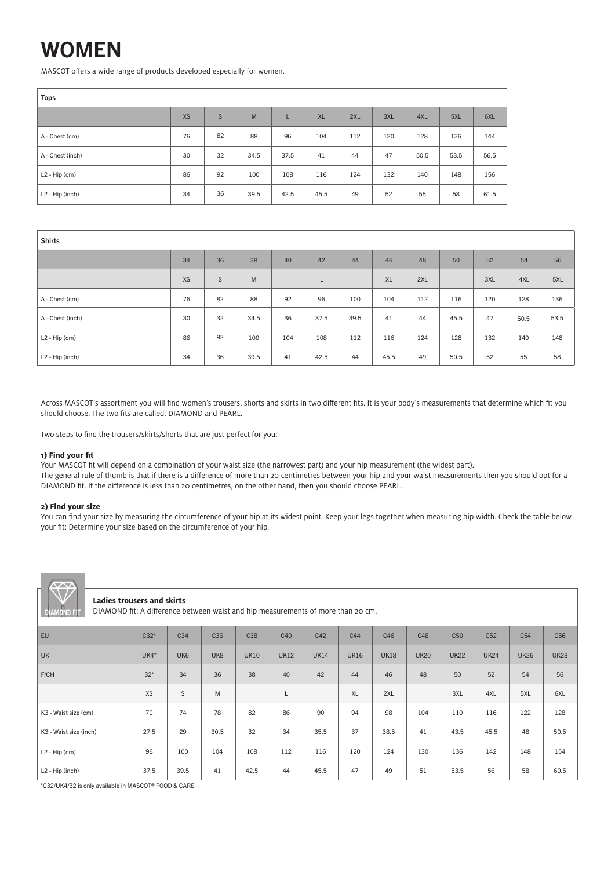# WOMEN

MASCOT offers a wide range of products developed especially for women.

| <b>Tops</b>                 |           |    |      |      |           |     |     |      |      |      |
|-----------------------------|-----------|----|------|------|-----------|-----|-----|------|------|------|
|                             | <b>XS</b> | S  | M    |      | <b>XL</b> | 2XL | 3XL | 4XL  | 5XL  | 6XL  |
| A - Chest (cm)              | 76        | 82 | 88   | 96   | 104       | 112 | 120 | 128  | 136  | 144  |
| A - Chest (inch)            | 30        | 32 | 34.5 | 37.5 | 41        | 44  | 47  | 50.5 | 53.5 | 56.5 |
| $L2 - Hip$ (cm)             | 86        | 92 | 100  | 108  | 116       | 124 | 132 | 140  | 148  | 156  |
| L <sub>2</sub> - Hip (inch) | 34        | 36 | 39.5 | 42.5 | 45.5      | 49  | 52  | 55   | 58   | 61.5 |

| <b>Shirts</b>               |           |             |      |     |      |      |           |     |      |     |      |      |
|-----------------------------|-----------|-------------|------|-----|------|------|-----------|-----|------|-----|------|------|
|                             | 34        | 36          | 38   | 40  | 42   | 44   | 46        | 48  | 50   | 52  | 54   | 56   |
|                             | <b>XS</b> | $\mathsf S$ | M    |     | L    |      | <b>XL</b> | 2XL |      | 3XL | 4XL  | 5XL  |
| A - Chest (cm)              | 76        | 82          | 88   | 92  | 96   | 100  | 104       | 112 | 116  | 120 | 128  | 136  |
| A - Chest (inch)            | 30        | 32          | 34.5 | 36  | 37.5 | 39.5 | 41        | 44  | 45.5 | 47  | 50.5 | 53.5 |
| $L2 - Hip$ (cm)             | 86        | 92          | 100  | 104 | 108  | 112  | 116       | 124 | 128  | 132 | 140  | 148  |
| L <sub>2</sub> - Hip (inch) | 34        | 36          | 39.5 | 41  | 42.5 | 44   | 45.5      | 49  | 50.5 | 52  | 55   | 58   |

Across MASCOT's assortment you will find women's trousers, shorts and skirts in two different fits. It is your body's measurements that determine which fit you should choose. The two fits are called: DIAMOND and PEARL.

Two steps to find the trousers/skirts/shorts that are just perfect for you:

### **1) Find your fit**

Your MASCOT fit will depend on a combination of your waist size (the narrowest part) and your hip measurement (the widest part). The general rule of thumb is that if there is a difference of more than 20 centimetres between your hip and your waist measurements then you should opt for a DIAMOND fit. If the difference is less than 20 centimetres, on the other hand, then you should choose PEARL.

### **2) Find your size**

You can find your size by measuring the circumference of your hip at its widest point. Keep your legs together when measuring hip width. Check the table below your fit: Determine your size based on the circumference of your hip.



### **Ladies trousers and skirts**

DIAMOND fit: A difference between waist and hip measurements of more than 20 cm.

| EU                          | $C32*$    | C <sub>34</sub> | C <sub>36</sub> | C38         | C40         | C42         | C44         | C46         | C48         | C <sub>50</sub> | C <sub>52</sub> | C <sub>54</sub> | C <sub>56</sub> |
|-----------------------------|-----------|-----------------|-----------------|-------------|-------------|-------------|-------------|-------------|-------------|-----------------|-----------------|-----------------|-----------------|
| UK                          | $UK4*$    | UK <sub>6</sub> | UK <sub>8</sub> | <b>UK10</b> | <b>UK12</b> | <b>UK14</b> | <b>UK16</b> | <b>UK18</b> | <b>UK20</b> | <b>UK22</b>     | <b>UK24</b>     | <b>UK26</b>     | <b>UK28</b>     |
| F/CH                        | $32*$     | 34              | 36              | 38          | 40          | 42          | 44          | 46          | 48          | 50              | 52              | 54              | 56              |
|                             | <b>XS</b> | S               | M               |             | L           |             | <b>XL</b>   | 2XL         |             | 3XL             | 4XL             | 5XL             | 6XL             |
| K3 - Waist size (cm)        | 70        | 74              | 78              | 82          | 86          | 90          | 94          | 98          | 104         | 110             | 116             | 122             | 128             |
| K3 - Waist size (inch)      | 27.5      | 29              | 30.5            | 32          | 34          | 35.5        | 37          | 38.5        | 41          | 43.5            | 45.5            | 48              | 50.5            |
| $L2 - Hip$ (cm)             | 96        | 100             | 104             | 108         | 112         | 116         | 120         | 124         | 130         | 136             | 142             | 148             | 154             |
| L <sub>2</sub> - Hip (inch) | 37.5      | 39.5            | 41              | 42.5        | 44          | 45.5        | 47          | 49          | 51          | 53.5            | 56              | 58              | 60.5            |

\*C32/UK4/32 is only available in MASCOT® FOOD & CARE.